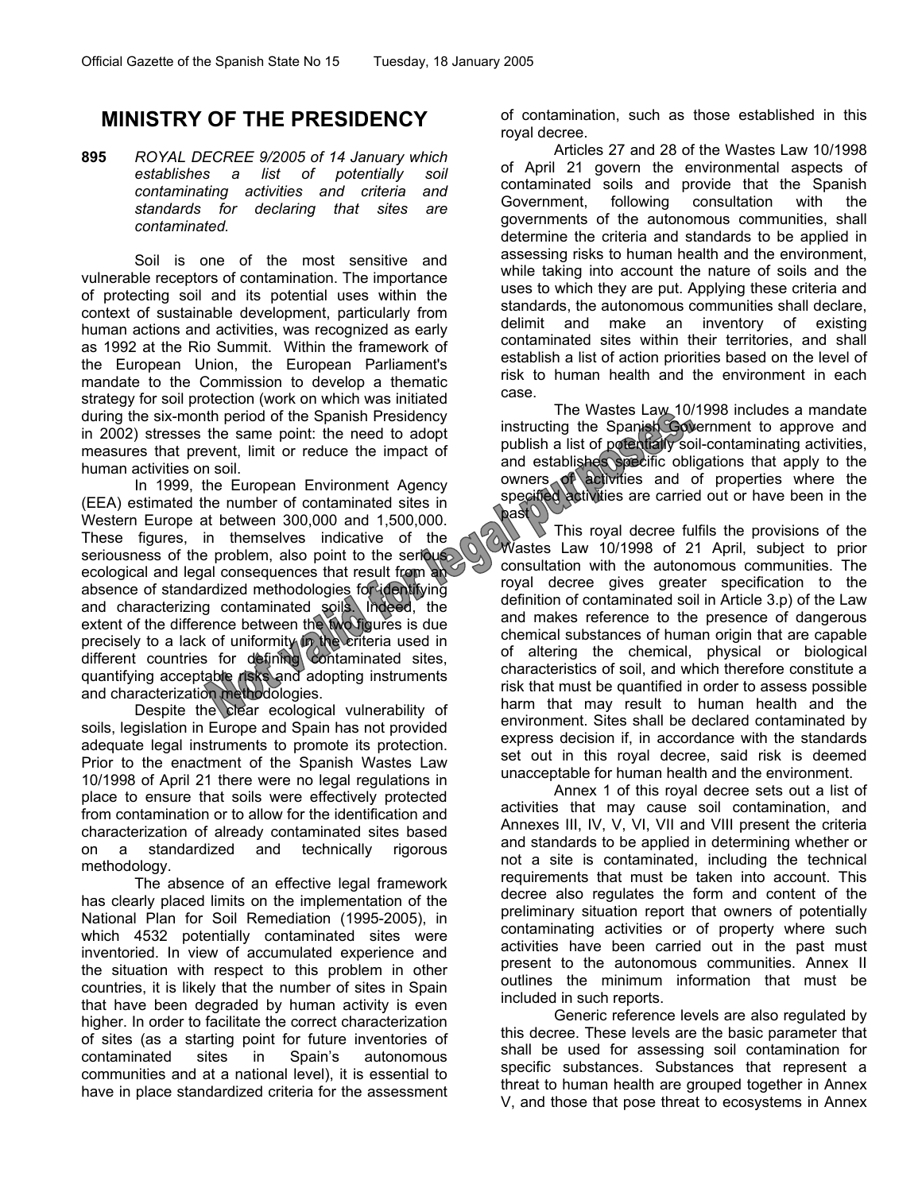# **MINISTRY OF THE PRESIDENCY**

**895** *ROYAL DECREE 9/2005 of 14 January which establishes a list of potentially soil contaminating activities and criteria and standards for declaring that sites are contaminated.* 

Soil is one of the most sensitive and vulnerable receptors of contamination. The importance of protecting soil and its potential uses within the context of sustainable development, particularly from human actions and activities, was recognized as early as 1992 at the Rio Summit. Within the framework of the European Union, the European Parliament's mandate to the Commission to develop a thematic strategy for soil protection (work on which was initiated during the six-month period of the Spanish Presidency in 2002) stresses the same point: the need to adopt measures that prevent, limit or reduce the impact of human activities on soil.

In 1999, the European Environment Agency (EEA) estimated the number of contaminated sites in Western Europe at between 300,000 and 1,500,000. These figures, in themselves indicative of the seriousness of the problem, also point to the serious ecological and legal consequences that result from an absence of standardized methodologies for identifying and characterizing contaminated soils. Indeed, the extent of the difference between the two figures is due precisely to a lack of uniformity in the criteria used in different countries for defining contaminated sites, quantifying acceptable risks and adopting instruments and characterization methodologies.

Despite the clear ecological vulnerability of soils, legislation in Europe and Spain has not provided adequate legal instruments to promote its protection. Prior to the enactment of the Spanish Wastes Law 10/1998 of April 21 there were no legal regulations in place to ensure that soils were effectively protected from contamination or to allow for the identification and characterization of already contaminated sites based on a standardized and technically rigorous methodology.

The absence of an effective legal framework has clearly placed limits on the implementation of the National Plan for Soil Remediation (1995-2005), in which 4532 potentially contaminated sites were inventoried. In view of accumulated experience and the situation with respect to this problem in other countries, it is likely that the number of sites in Spain that have been degraded by human activity is even higher. In order to facilitate the correct characterization of sites (as a starting point for future inventories of contaminated sites in Spain's autonomous communities and at a national level), it is essential to have in place standardized criteria for the assessment of contamination, such as those established in this royal decree.

Articles 27 and 28 of the Wastes Law 10/1998 of April 21 govern the environmental aspects of contaminated soils and provide that the Spanish Government, following consultation with the governments of the autonomous communities, shall determine the criteria and standards to be applied in assessing risks to human health and the environment, while taking into account the nature of soils and the uses to which they are put. Applying these criteria and standards, the autonomous communities shall declare, delimit and make an inventory of existing contaminated sites within their territories, and shall establish a list of action priorities based on the level of risk to human health and the environment in each case.

The Wastes Law 10/1998 includes a mandate instructing the Spanish Government to approve and publish a list of potentially soil-contaminating activities, and establishes specific obligations that apply to the owners of activities and of properties where the specified activities are carried out or have been in the past

This royal decree fulfils the provisions of the Wastes Law 10/1998 of 21 April, subject to prior consultation with the autonomous communities. The royal decree gives greater specification to the definition of contaminated soil in Article 3.p) of the Law and makes reference to the presence of dangerous chemical substances of human origin that are capable of altering the chemical, physical or biological characteristics of soil, and which therefore constitute a risk that must be quantified in order to assess possible harm that may result to human health and the environment. Sites shall be declared contaminated by express decision if, in accordance with the standards set out in this royal decree, said risk is deemed unacceptable for human health and the environment.

Annex 1 of this royal decree sets out a list of activities that may cause soil contamination, and Annexes III, IV, V, VI, VII and VIII present the criteria and standards to be applied in determining whether or not a site is contaminated, including the technical requirements that must be taken into account. This decree also regulates the form and content of the preliminary situation report that owners of potentially contaminating activities or of property where such activities have been carried out in the past must present to the autonomous communities. Annex II outlines the minimum information that must be included in such reports.

Generic reference levels are also regulated by this decree. These levels are the basic parameter that shall be used for assessing soil contamination for specific substances. Substances that represent a threat to human health are grouped together in Annex V, and those that pose threat to ecosystems in Annex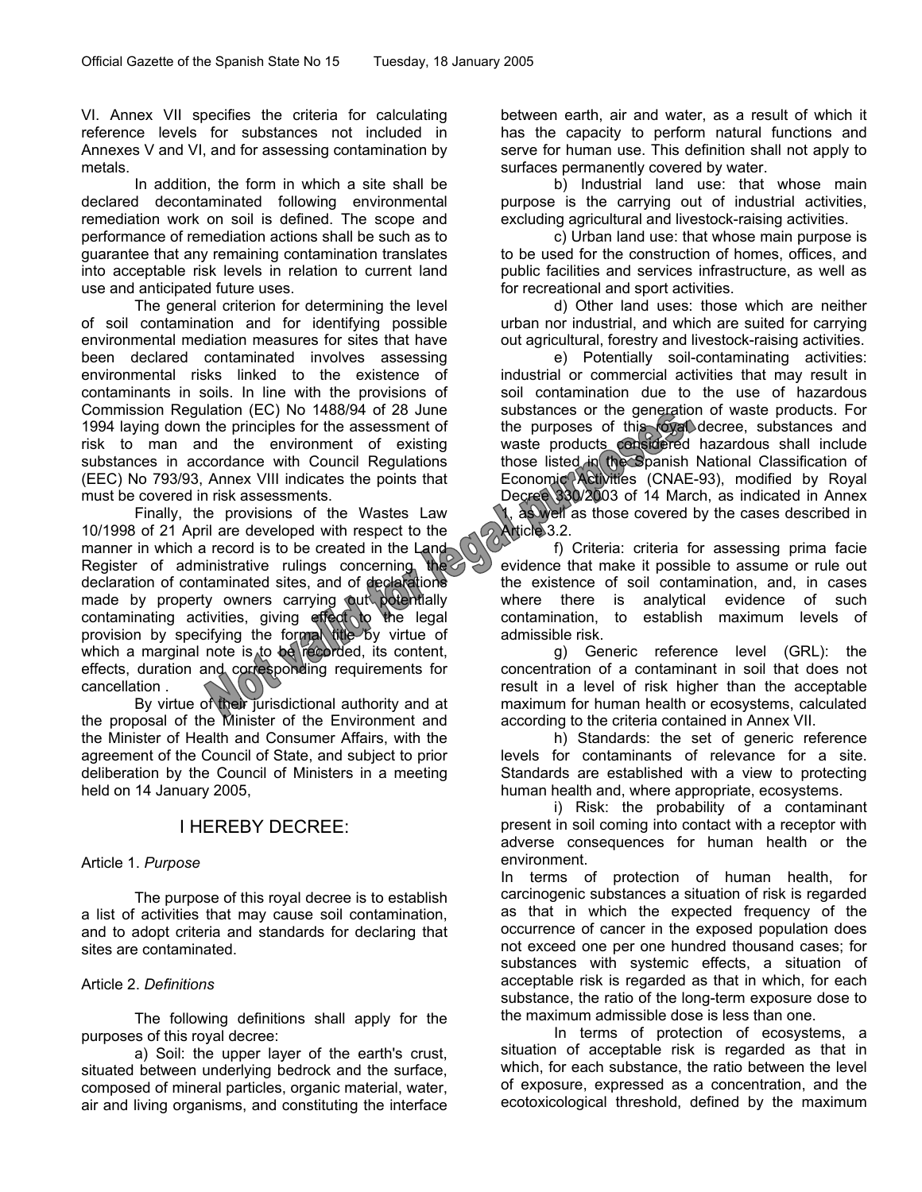VI. Annex VII specifies the criteria for calculating reference levels for substances not included in Annexes V and VI, and for assessing contamination by metals.

In addition, the form in which a site shall be declared decontaminated following environmental remediation work on soil is defined. The scope and performance of remediation actions shall be such as to guarantee that any remaining contamination translates into acceptable risk levels in relation to current land use and anticipated future uses.

The general criterion for determining the level of soil contamination and for identifying possible environmental mediation measures for sites that have been declared contaminated involves assessing environmental risks linked to the existence of contaminants in soils. In line with the provisions of Commission Regulation (EC) No 1488/94 of 28 June 1994 laying down the principles for the assessment of risk to man and the environment of existing substances in accordance with Council Regulations (EEC) No 793/93, Annex VIII indicates the points that must be covered in risk assessments.

Finally, the provisions of the Wastes Law 10/1998 of 21 April are developed with respect to the manner in which a record is to be created in the Land Register of administrative rulings concerning the declaration of contaminated sites, and of declarations made by property owners carrying out potentially contaminating activities, giving effect to the legal provision by specifying the formal title by virtue of which a marginal note is to be recorded, its content, effects, duration and corresponding requirements for cancellation .

By virtue of their jurisdictional authority and at the proposal of the Minister of the Environment and the Minister of Health and Consumer Affairs, with the agreement of the Council of State, and subject to prior deliberation by the Council of Ministers in a meeting held on 14 January 2005,

# I HEREBY DECREE:

# Article 1. *Purpose*

The purpose of this royal decree is to establish a list of activities that may cause soil contamination, and to adopt criteria and standards for declaring that sites are contaminated.

# Article 2. *Definitions*

The following definitions shall apply for the purposes of this royal decree:

a) Soil: the upper layer of the earth's crust, situated between underlying bedrock and the surface, composed of mineral particles, organic material, water, air and living organisms, and constituting the interface between earth, air and water, as a result of which it has the capacity to perform natural functions and serve for human use. This definition shall not apply to surfaces permanently covered by water.

b) Industrial land use: that whose main purpose is the carrying out of industrial activities, excluding agricultural and livestock-raising activities.

c) Urban land use: that whose main purpose is to be used for the construction of homes, offices, and public facilities and services infrastructure, as well as for recreational and sport activities.

d) Other land uses: those which are neither urban nor industrial, and which are suited for carrying out agricultural, forestry and livestock-raising activities.

e) Potentially soil-contaminating activities: industrial or commercial activities that may result in soil contamination due to the use of hazardous substances or the generation of waste products. For the purposes of this royal decree, substances and waste products considered hazardous shall include those listed in the Spanish National Classification of Economic Activities (CNAE-93), modified by Royal Decree 330/2003 of 14 March, as indicated in Annex 1, as well as those covered by the cases described in Article<sup>3.2.</sup>

 f) Criteria: criteria for assessing prima facie evidence that make it possible to assume or rule out the existence of soil contamination, and, in cases where there is analytical evidence of such contamination, to establish maximum levels of admissible risk.

g) Generic reference level (GRL): the concentration of a contaminant in soil that does not result in a level of risk higher than the acceptable maximum for human health or ecosystems, calculated according to the criteria contained in Annex VII.

h) Standards: the set of generic reference levels for contaminants of relevance for a site. Standards are established with a view to protecting human health and, where appropriate, ecosystems.

i) Risk: the probability of a contaminant present in soil coming into contact with a receptor with adverse consequences for human health or the environment.

In terms of protection of human health, for carcinogenic substances a situation of risk is regarded as that in which the expected frequency of the occurrence of cancer in the exposed population does not exceed one per one hundred thousand cases; for substances with systemic effects, a situation of acceptable risk is regarded as that in which, for each substance, the ratio of the long-term exposure dose to the maximum admissible dose is less than one.

In terms of protection of ecosystems, a situation of acceptable risk is regarded as that in which, for each substance, the ratio between the level of exposure, expressed as a concentration, and the ecotoxicological threshold, defined by the maximum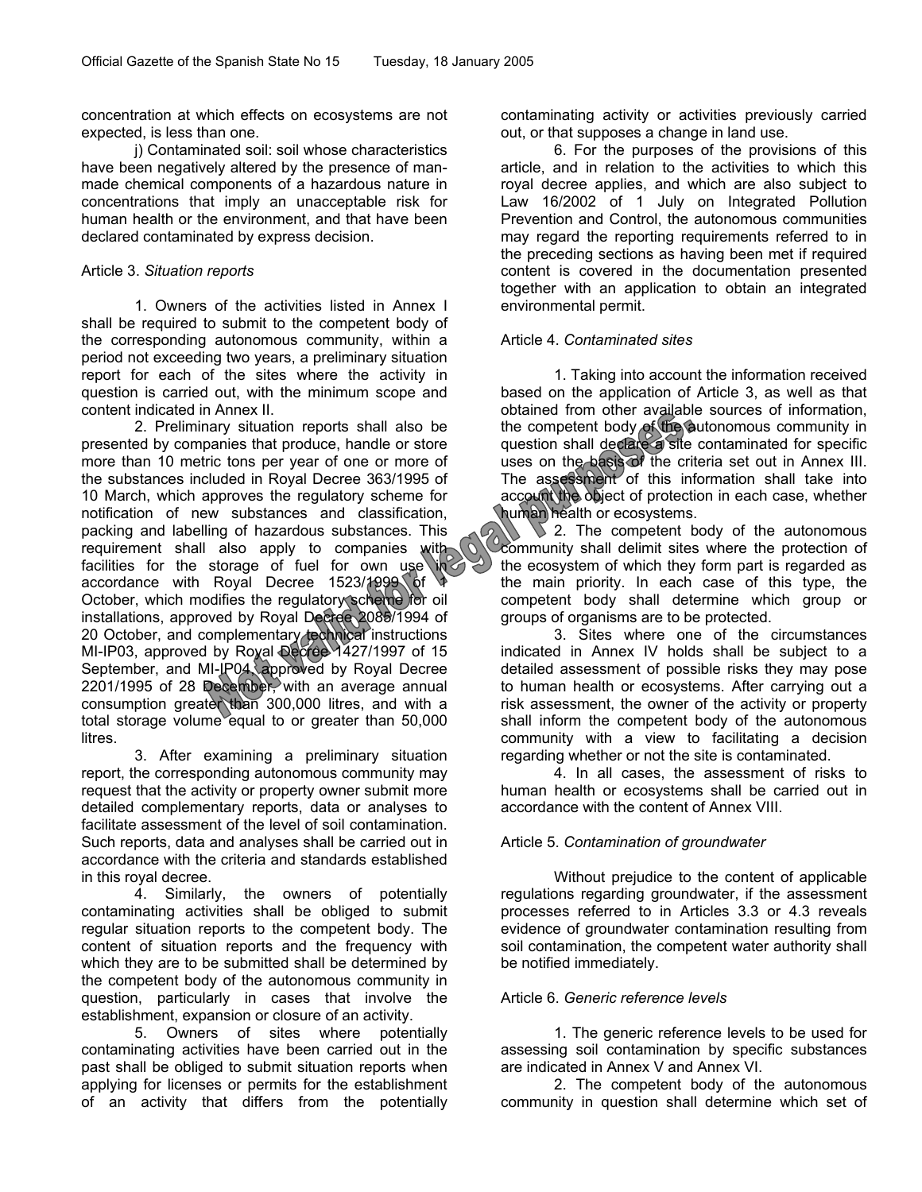concentration at which effects on ecosystems are not expected, is less than one.

j) Contaminated soil: soil whose characteristics have been negatively altered by the presence of manmade chemical components of a hazardous nature in concentrations that imply an unacceptable risk for human health or the environment, and that have been declared contaminated by express decision.

#### Article 3. *Situation reports*

1. Owners of the activities listed in Annex I shall be required to submit to the competent body of the corresponding autonomous community, within a period not exceeding two years, a preliminary situation report for each of the sites where the activity in question is carried out, with the minimum scope and content indicated in Annex II.

2. Preliminary situation reports shall also be presented by companies that produce, handle or store more than 10 metric tons per year of one or more of the substances included in Royal Decree 363/1995 of 10 March, which approves the regulatory scheme for notification of new substances and classification, packing and labelling of hazardous substances. This packing and labouring community to companies with facilities for the storage of fuel for own use  $\lambda$ accordance with Royal Decree 1523/1999 of October, which modifies the regulatory scheme for oil installations, approved by Royal Decree 2085/1994 of 20 October, and complementary technical instructions MI-IP03, approved by Royal Decree 1427/1997 of 15 September, and MI-IP04, approved by Royal Decree 2201/1995 of 28 December, with an average annual consumption greater than 300,000 litres, and with a total storage volume equal to or greater than 50,000 litres.

3. After examining a preliminary situation report, the corresponding autonomous community may request that the activity or property owner submit more detailed complementary reports, data or analyses to facilitate assessment of the level of soil contamination. Such reports, data and analyses shall be carried out in accordance with the criteria and standards established in this royal decree.

4. Similarly, the owners of potentially contaminating activities shall be obliged to submit regular situation reports to the competent body. The content of situation reports and the frequency with which they are to be submitted shall be determined by the competent body of the autonomous community in question, particularly in cases that involve the establishment, expansion or closure of an activity.

5. Owners of sites where potentially contaminating activities have been carried out in the past shall be obliged to submit situation reports when applying for licenses or permits for the establishment of an activity that differs from the potentially contaminating activity or activities previously carried out, or that supposes a change in land use.

6. For the purposes of the provisions of this article, and in relation to the activities to which this royal decree applies, and which are also subject to Law 16/2002 of 1 July on Integrated Pollution Prevention and Control, the autonomous communities may regard the reporting requirements referred to in the preceding sections as having been met if required content is covered in the documentation presented together with an application to obtain an integrated environmental permit.

# Article 4. *Contaminated sites*

1. Taking into account the information received based on the application of Article 3, as well as that obtained from other available sources of information, the competent body of the autonomous community in question shall declare a site contaminated for specific uses on the basis of the criteria set out in Annex III. The assessment of this information shall take into account the object of protection in each case, whether human health or ecosystems.

 $\overline{\phantom{a}}$  2. The competent body of the autonomous community shall delimit sites where the protection of the ecosystem of which they form part is regarded as the main priority. In each case of this type, the competent body shall determine which group or groups of organisms are to be protected.

3. Sites where one of the circumstances indicated in Annex IV holds shall be subject to a detailed assessment of possible risks they may pose to human health or ecosystems. After carrying out a risk assessment, the owner of the activity or property shall inform the competent body of the autonomous community with a view to facilitating a decision regarding whether or not the site is contaminated.

4. In all cases, the assessment of risks to human health or ecosystems shall be carried out in accordance with the content of Annex VIII.

# Article 5. *Contamination of groundwater*

Without prejudice to the content of applicable regulations regarding groundwater, if the assessment processes referred to in Articles 3.3 or 4.3 reveals evidence of groundwater contamination resulting from soil contamination, the competent water authority shall be notified immediately.

# Article 6. *Generic reference levels*

1. The generic reference levels to be used for assessing soil contamination by specific substances are indicated in Annex V and Annex VI.

2. The competent body of the autonomous community in question shall determine which set of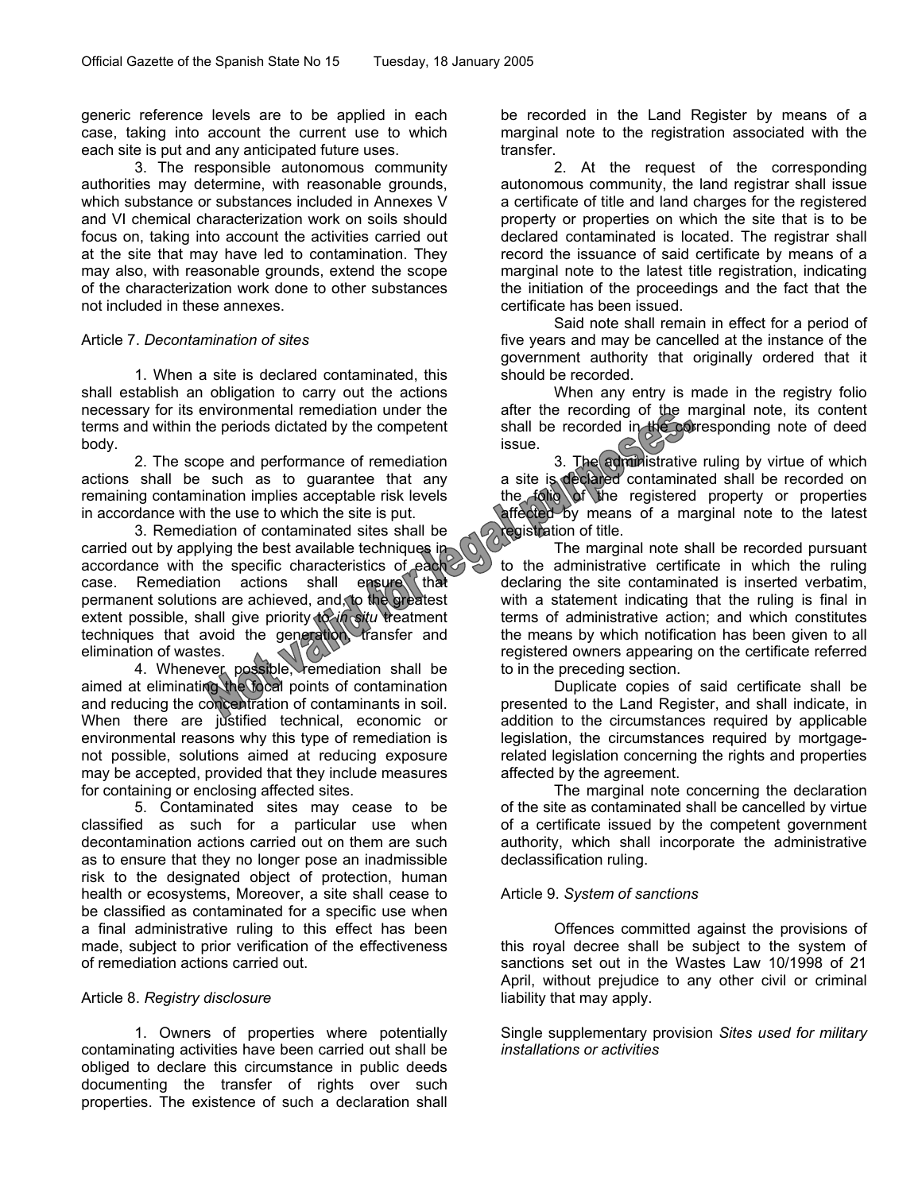generic reference levels are to be applied in each case, taking into account the current use to which each site is put and any anticipated future uses.

3. The responsible autonomous community authorities may determine, with reasonable grounds, which substance or substances included in Annexes V and VI chemical characterization work on soils should focus on, taking into account the activities carried out at the site that may have led to contamination. They may also, with reasonable grounds, extend the scope of the characterization work done to other substances not included in these annexes.

# Article 7. *Decontamination of sites*

1. When a site is declared contaminated, this shall establish an obligation to carry out the actions necessary for its environmental remediation under the terms and within the periods dictated by the competent body.

2. The scope and performance of remediation actions shall be such as to guarantee that any remaining contamination implies acceptable risk levels in accordance with the use to which the site is put.

3. Remediation of contaminated sites shall be carried out by applying the best available techniques in accordance with the specific characteristics of each case. Remediation actions shall ensure that permanent solutions are achieved, and, to the greatest extent possible, shall give priority to *in situ* treatment techniques that avoid the generation transfer and elimination of wastes.

4. Whenever possible, remediation shall be aimed at eliminating the focal points of contamination and reducing the concentration of contaminants in soil. When there are justified technical, economic or environmental reasons why this type of remediation is not possible, solutions aimed at reducing exposure may be accepted, provided that they include measures for containing or enclosing affected sites.

5. Contaminated sites may cease to be classified as such for a particular use when decontamination actions carried out on them are such as to ensure that they no longer pose an inadmissible risk to the designated object of protection, human health or ecosystems, Moreover, a site shall cease to be classified as contaminated for a specific use when a final administrative ruling to this effect has been made, subject to prior verification of the effectiveness of remediation actions carried out.

# Article 8. *Registry disclosure*

1. Owners of properties where potentially contaminating activities have been carried out shall be obliged to declare this circumstance in public deeds documenting the transfer of rights over such properties. The existence of such a declaration shall

be recorded in the Land Register by means of a marginal note to the registration associated with the transfer.

2. At the request of the corresponding autonomous community, the land registrar shall issue a certificate of title and land charges for the registered property or properties on which the site that is to be declared contaminated is located. The registrar shall record the issuance of said certificate by means of a marginal note to the latest title registration, indicating the initiation of the proceedings and the fact that the certificate has been issued.

Said note shall remain in effect for a period of five years and may be cancelled at the instance of the government authority that originally ordered that it should be recorded.

When any entry is made in the registry folio after the recording of the marginal note, its content shall be recorded in the corresponding note of deed issue. P

3. The administrative ruling by virtue of which a site is declared contaminated shall be recorded on the folio of the registered property or properties affected by means of a marginal note to the latest registration of title.

The marginal note shall be recorded pursuant to the administrative certificate in which the ruling declaring the site contaminated is inserted verbatim, with a statement indicating that the ruling is final in terms of administrative action; and which constitutes the means by which notification has been given to all registered owners appearing on the certificate referred to in the preceding section.

Duplicate copies of said certificate shall be presented to the Land Register, and shall indicate, in addition to the circumstances required by applicable legislation, the circumstances required by mortgagerelated legislation concerning the rights and properties affected by the agreement.

The marginal note concerning the declaration of the site as contaminated shall be cancelled by virtue of a certificate issued by the competent government authority, which shall incorporate the administrative declassification ruling.

# Article 9. *System of sanctions*

Offences committed against the provisions of this royal decree shall be subject to the system of sanctions set out in the Wastes Law 10/1998 of 21 April, without prejudice to any other civil or criminal liability that may apply.

Single supplementary provision *Sites used for military installations or activities*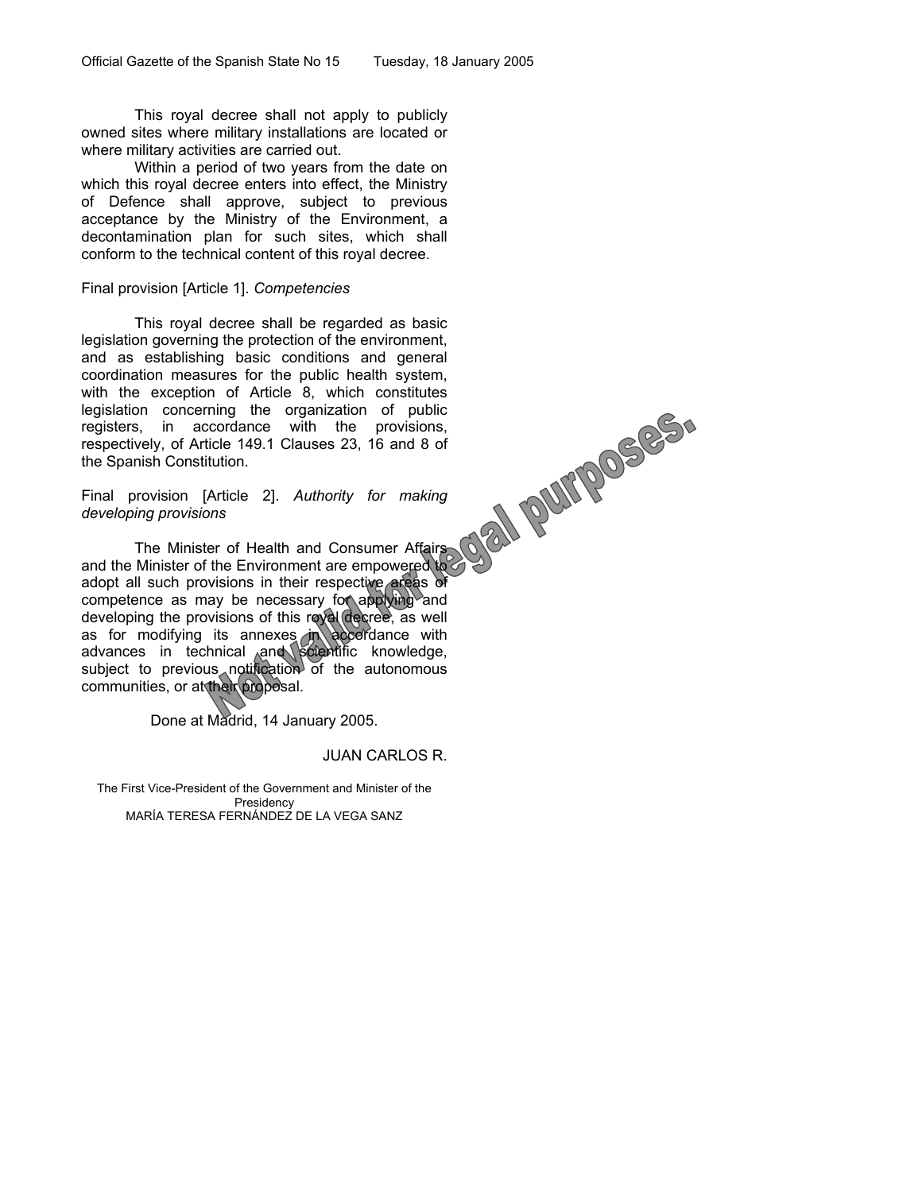This royal decree shall not apply to publicly owned sites where military installations are located or where military activities are carried out.

Within a period of two years from the date on which this royal decree enters into effect, the Ministry of Defence shall approve, subject to previous acceptance by the Ministry of the Environment, a decontamination plan for such sites, which shall conform to the technical content of this royal decree.

#### Final provision [Article 1]. *Competencies*

This royal decree shall be regarded as basic legislation governing the protection of the environment, and as establishing basic conditions and general coordination measures for the public health system, with the exception of Article 8, which constitutes legislation concerning the organization of public registers, in accordance with the provisions, respectively, of Article 149.1 Clauses 23, 16 and 8 of the Spanish Constitution.

Final provision [Article 2]. *Authority for making developing provisions*

The Minister of Health and Consumer Affairs and the Minister of the Environment are empowered to adopt all such provisions in their respective areas of competence as may be necessary for applying and developing the provisions of this royal decree, as well as for modifying its annexes in accordance with advances in technical and scientific knowledge, as for modifying its annexes in accordance with<br>advances in technical and scientific knowledge,<br>subject to previous notification of the autonomous communities, or at their proposal.

Done at Madrid, 14 January 2005.

#### JUAN CARLOS R.

The First Vice-President of the Government and Minister of the Presidency MARÍA TERESA FERNÁNDEZ DE LA VEGA SANZ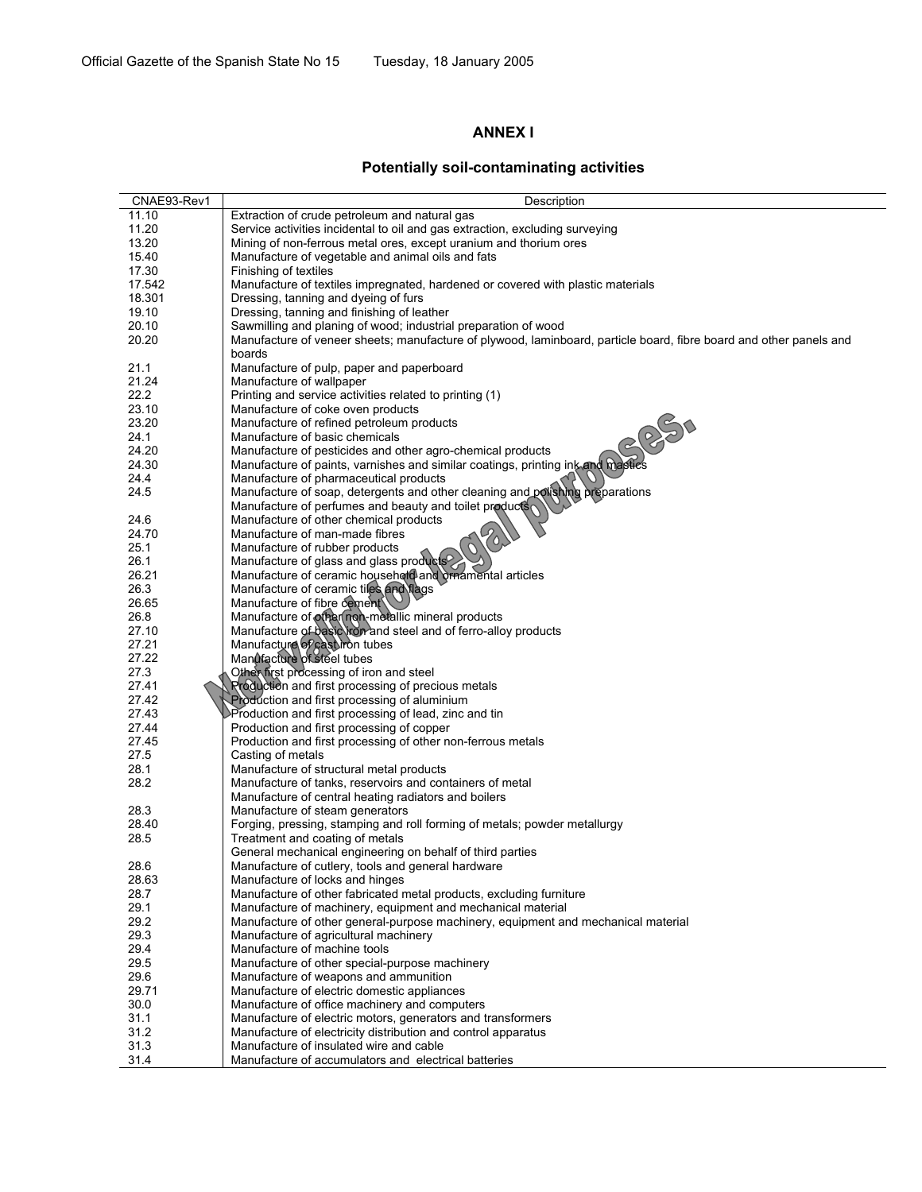# **ANNEX I**

# **Potentially soil-contaminating activities**

| CNAE93-Rev1    | Description                                                                                                        |
|----------------|--------------------------------------------------------------------------------------------------------------------|
| 11.10          | Extraction of crude petroleum and natural gas                                                                      |
| 11.20          | Service activities incidental to oil and gas extraction, excluding surveying                                       |
| 13.20          | Mining of non-ferrous metal ores, except uranium and thorium ores                                                  |
| 15.40          | Manufacture of vegetable and animal oils and fats                                                                  |
| 17.30          | Finishing of textiles                                                                                              |
| 17.542         | Manufacture of textiles impregnated, hardened or covered with plastic materials                                    |
| 18.301         | Dressing, tanning and dyeing of furs                                                                               |
| 19.10          | Dressing, tanning and finishing of leather                                                                         |
| 20.10          | Sawmilling and planing of wood; industrial preparation of wood                                                     |
| 20.20          | Manufacture of veneer sheets; manufacture of plywood, laminboard, particle board, fibre board and other panels and |
|                | boards                                                                                                             |
| 21.1           |                                                                                                                    |
| 21.24          | Manufacture of pulp, paper and paperboard<br>Manufacture of wallpaper                                              |
| 22.2           | Printing and service activities related to printing (1)                                                            |
| 23.10          | Manufacture of coke oven products                                                                                  |
| 23.20          |                                                                                                                    |
| 24.1           | Manufacture of refined petroleum products                                                                          |
| 24.20          | Manufacture of basic chemicals<br>Manufacture of pesticides and other agro-chemical products                       |
|                |                                                                                                                    |
| 24.30          | Manufacture of paints, varnishes and similar coatings, printing ink and mastics                                    |
| 24.4           | Manufacture of pharmaceutical products                                                                             |
| 24.5           | Manufacture of soap, detergents and other cleaning and polishing preparations                                      |
|                | Manufacture of perfumes and beauty and toilet products<br>Manufacture of other chemical products                   |
| 24.6           |                                                                                                                    |
| 24.70          | Manufacture of man-made fibres                                                                                     |
| 25.1           | Manufacture of rubber products                                                                                     |
| 26.1           | Manufacture of glass and glass products                                                                            |
| 26.21          | Manufacture of ceramic household and ornamental articles                                                           |
| 26.3           | Manufacture of ceramic tiles and flags                                                                             |
| 26.65          | Manufacture of fibre cement                                                                                        |
| 26.8           | Manufacture of other non-metallic mineral products                                                                 |
| 27.10          | Manufacture of basic ron and steel and of ferro-alloy products                                                     |
| 27.21          | Manufacture of cast iron tubes                                                                                     |
| 27.22          | Manûfacture of steel tubes                                                                                         |
| 27.3           | Other first processing of iron and steel                                                                           |
| 27.41<br>27.42 | <b>Rroduction and first processing of precious metals</b><br>Production and first processing of aluminium          |
| 27.43          | Production and first processing of lead, zinc and tin                                                              |
| 27.44          | Production and first processing of copper                                                                          |
| 27.45          | Production and first processing of other non-ferrous metals                                                        |
| 27.5           | Casting of metals                                                                                                  |
| 28.1           | Manufacture of structural metal products                                                                           |
| 28.2           | Manufacture of tanks, reservoirs and containers of metal                                                           |
|                | Manufacture of central heating radiators and boilers                                                               |
| 28.3           | Manufacture of steam generators                                                                                    |
| 28.40          | Forging, pressing, stamping and roll forming of metals; powder metallurgy                                          |
| 28.5           | Treatment and coating of metals                                                                                    |
|                | General mechanical engineering on behalf of third parties                                                          |
| 28.6           | Manufacture of cutlery, tools and general hardware                                                                 |
| 28.63          | Manufacture of locks and hinges                                                                                    |
| 28.7           | Manufacture of other fabricated metal products, excluding furniture                                                |
| 29.1           | Manufacture of machinery, equipment and mechanical material                                                        |
| 29.2           | Manufacture of other general-purpose machinery, equipment and mechanical material                                  |
| 29.3           | Manufacture of agricultural machinery                                                                              |
| 29.4           | Manufacture of machine tools                                                                                       |
| 29.5           | Manufacture of other special-purpose machinery                                                                     |
| 29.6           | Manufacture of weapons and ammunition                                                                              |
| 29.71          | Manufacture of electric domestic appliances                                                                        |
| 30.0           | Manufacture of office machinery and computers                                                                      |
| 31.1           | Manufacture of electric motors, generators and transformers                                                        |
| 31.2           | Manufacture of electricity distribution and control apparatus                                                      |
| 31.3           | Manufacture of insulated wire and cable                                                                            |
| 31.4           | Manufacture of accumulators and electrical batteries                                                               |
|                |                                                                                                                    |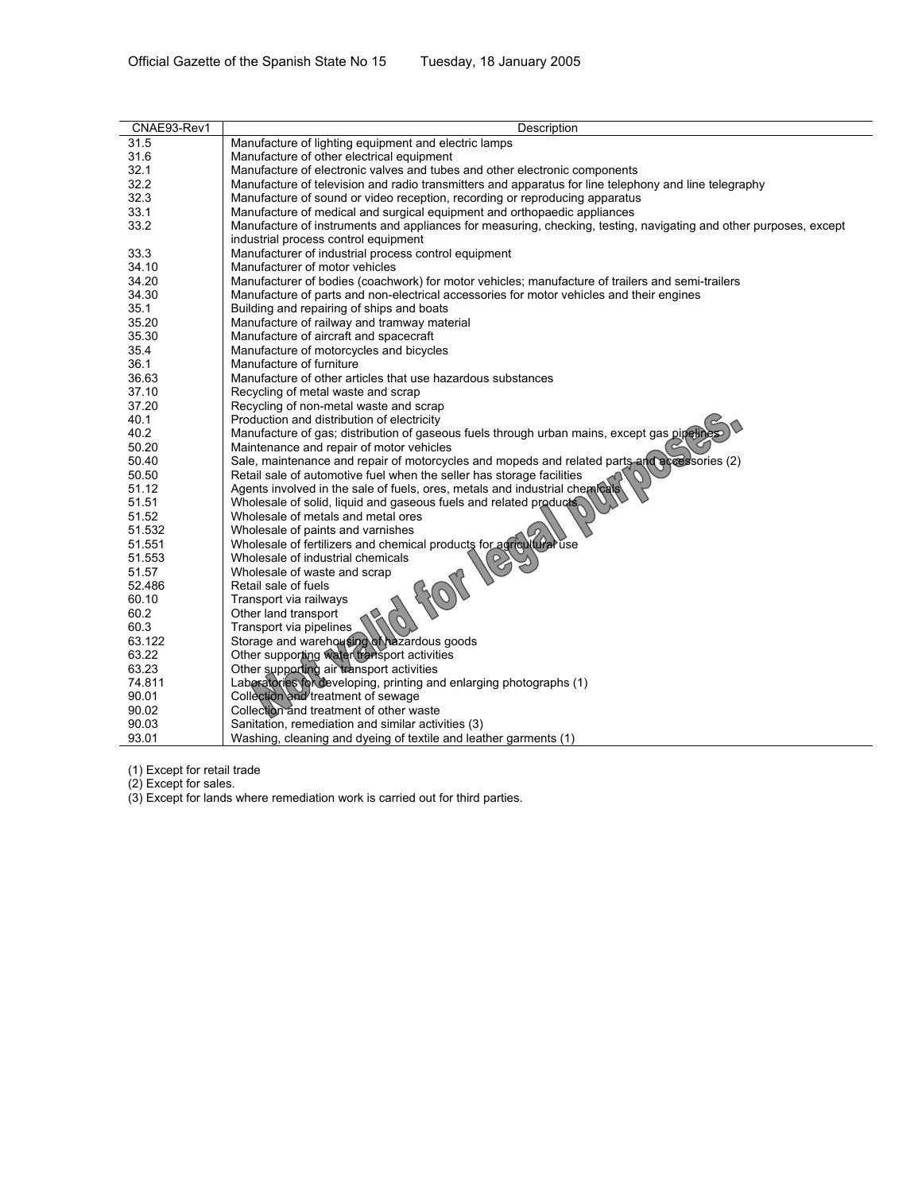| Tuesday, 18 January 2005 |  |  |  |
|--------------------------|--|--|--|
|--------------------------|--|--|--|

| CNAE93-Rev1 | Description                                                                                                       |
|-------------|-------------------------------------------------------------------------------------------------------------------|
| 31.5        | Manufacture of lighting equipment and electric lamps                                                              |
| 31.6        | Manufacture of other electrical equipment                                                                         |
| 32.1        | Manufacture of electronic valves and tubes and other electronic components                                        |
| 32.2        | Manufacture of television and radio transmitters and apparatus for line telephony and line telegraphy             |
| 32.3        | Manufacture of sound or video reception, recording or reproducing apparatus                                       |
| 33.1        | Manufacture of medical and surgical equipment and orthopaedic appliances                                          |
| 33.2        | Manufacture of instruments and appliances for measuring, checking, testing, navigating and other purposes, except |
|             | industrial process control equipment                                                                              |
| 33.3        | Manufacturer of industrial process control equipment                                                              |
| 34.10       | Manufacturer of motor vehicles                                                                                    |
| 34.20       | Manufacturer of bodies (coachwork) for motor vehicles; manufacture of trailers and semi-trailers                  |
| 34.30       | Manufacture of parts and non-electrical accessories for motor vehicles and their engines                          |
| 35.1        | Building and repairing of ships and boats                                                                         |
| 35.20       | Manufacture of railway and tramway material                                                                       |
| 35.30       | Manufacture of aircraft and spacecraft                                                                            |
| 35.4        | Manufacture of motorcycles and bicycles                                                                           |
| 36.1        | Manufacture of furniture                                                                                          |
| 36.63       | Manufacture of other articles that use hazardous substances                                                       |
| 37.10       | Recycling of metal waste and scrap                                                                                |
| 37.20       | Recycling of non-metal waste and scrap                                                                            |
| 40.1        | Production and distribution of electricity                                                                        |
| 40.2        | Manufacture of gas; distribution of gaseous fuels through urban mains, except gas pipelin                         |
| 50.20       | Maintenance and repair of motor vehicles                                                                          |
| 50.40       | Sale, maintenance and repair of motorcycles and mopeds and related parts and accessories (2)                      |
| 50.50       | Retail sale of automotive fuel when the seller has storage facilities                                             |
| 51.12       | Agents involved in the sale of fuels, ores, metals and industrial chemicals                                       |
| 51.51       | Wholesale of solid, liquid and gaseous fuels and related products.                                                |
| 51.52       | Wholesale of metals and metal ores                                                                                |
| 51.532      | Wholesale of paints and varnishes                                                                                 |
| 51.551      | Wholesale of fertilizers and chemical products for agricultural use                                               |
| 51.553      | Wholesale of industrial chemicals<br>$\heartsuit$                                                                 |
| 51.57       | Wholesale of waste and scrap                                                                                      |
| 52.486      | Retail sale of fuels                                                                                              |
| 60.10       | Transport via railways                                                                                            |
| 60.2        | Other land transport                                                                                              |
| 60.3        | Transport via pipelines                                                                                           |
| 63.122      | Storage and warehousing of hazardous goods                                                                        |
| 63.22       | Other supporting water transport activities                                                                       |
| 63.23       | Other supporting air transport activities                                                                         |
| 74.811      | Laboratories for developing, printing and enlarging photographs (1)                                               |
| 90.01       | Collection and treatment of sewage                                                                                |
| 90.02       | Collection and treatment of other waste                                                                           |
| 90.03       | Sanitation, remediation and similar activities (3)                                                                |
| 93.01       | Washing, cleaning and dyeing of textile and leather garments (1)                                                  |

(1) Except for retail trade

(2) Except for sales.

(3) Except for lands where remediation work is carried out for third parties.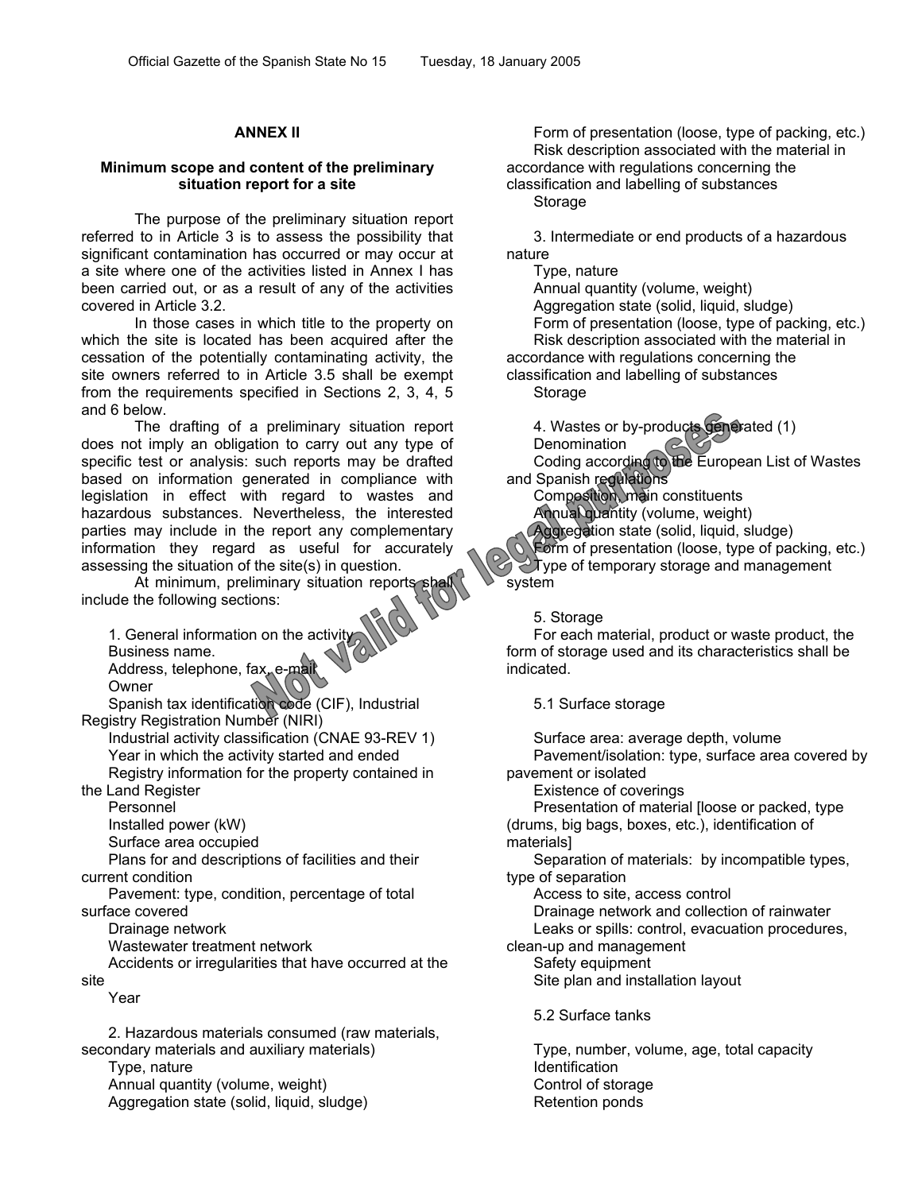# **ANNEX II**

#### **Minimum scope and content of the preliminary situation report for a site**

The purpose of the preliminary situation report referred to in Article 3 is to assess the possibility that significant contamination has occurred or may occur at a site where one of the activities listed in Annex I has been carried out, or as a result of any of the activities covered in Article 3.2.

In those cases in which title to the property on which the site is located has been acquired after the cessation of the potentially contaminating activity, the site owners referred to in Article 3.5 shall be exempt from the requirements specified in Sections 2, 3, 4, 5 and 6 below.

The drafting of a preliminary situation report does not imply an obligation to carry out any type of specific test or analysis: such reports may be drafted based on information generated in compliance with legislation in effect with regard to wastes and hazardous substances. Nevertheless, the interested parties may include in the report any complementary information they regard as useful for accurately assessing the situation of the site(s) in question.

At minimum, preliminary situation reports shall include the following sections:

1. General information on the activity Business name. Address, telephone, fax, e-mail

Owner

Spanish tax identification code (CIF), Industrial Registry Registration Number (NIRI)

Industrial activity classification (CNAE 93-REV 1) Year in which the activity started and ended Registry information for the property contained in

the Land Register

Personnel

Installed power (kW)

Surface area occupied

Plans for and descriptions of facilities and their current condition

Pavement: type, condition, percentage of total surface covered

Drainage network

Wastewater treatment network

Accidents or irregularities that have occurred at the site

Year

2. Hazardous materials consumed (raw materials, secondary materials and auxiliary materials)

Type, nature Annual quantity (volume, weight) Aggregation state (solid, liquid, sludge)

Form of presentation (loose, type of packing, etc.) Risk description associated with the material in accordance with regulations concerning the classification and labelling of substances

Storage

3. Intermediate or end products of a hazardous nature

Type, nature Annual quantity (volume, weight)

Aggregation state (solid, liquid, sludge) Form of presentation (loose, type of packing, etc.) Risk description associated with the material in accordance with regulations concerning the classification and labelling of substances Storage

4. Wastes or by-products generated (1) **Denomination** Coding according to the European List of Wastes and Spanish regulations

Composition, main constituents Annual quantity (volume, weight)

Aggregation state (solid, liquid, sludge) Form of presentation (loose, type of packing, etc.) Type of temporary storage and management system

5. Storage

For each material, product or waste product, the form of storage used and its characteristics shall be indicated.

5.1 Surface storage

Surface area: average depth, volume Pavement/isolation: type, surface area covered by pavement or isolated

Existence of coverings

Presentation of material [loose or packed, type (drums, big bags, boxes, etc.), identification of

materials] Separation of materials: by incompatible types,

type of separation

Access to site, access control Drainage network and collection of rainwater Leaks or spills: control, evacuation procedures,

clean-up and management

Safety equipment Site plan and installation layout

5.2 Surface tanks

Type, number, volume, age, total capacity Identification Control of storage Retention ponds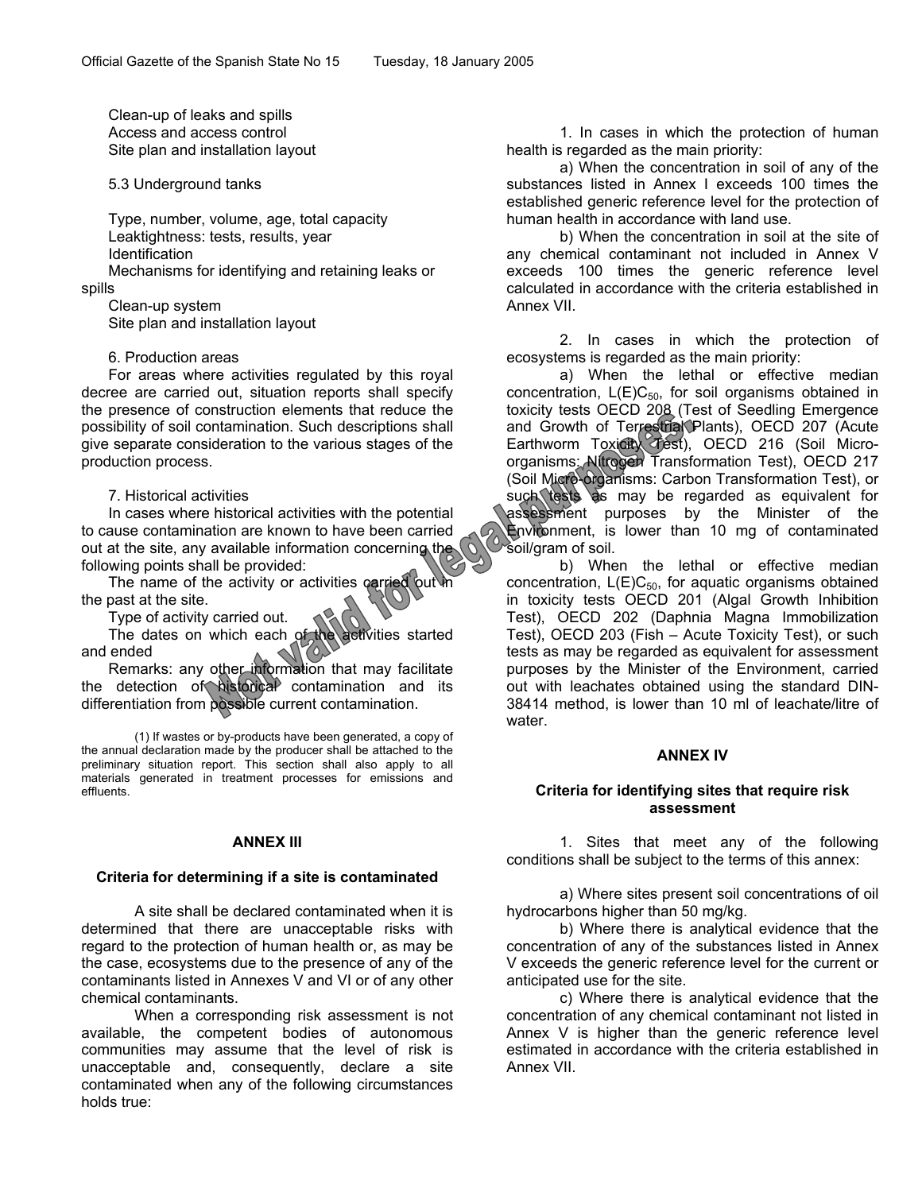Clean-up of leaks and spills Access and access control Site plan and installation layout

5.3 Underground tanks

Type, number, volume, age, total capacity Leaktightness: tests, results, year Identification

Mechanisms for identifying and retaining leaks or spills

Clean-up system Site plan and installation layout

6. Production areas

For areas where activities regulated by this royal decree are carried out, situation reports shall specify the presence of construction elements that reduce the possibility of soil contamination. Such descriptions shall give separate consideration to the various stages of the production process.

7. Historical activities

In cases where historical activities with the potential to cause contamination are known to have been carried out at the site, any available information concerning the following points shall be provided:

The name of the activity or activities carried out in the past at the site.

Type of activity carried out.

The dates on which each of the activities started and ended

Remarks: any other information that may facilitate the detection of historical contamination and its differentiation from possible current contamination.

(1) If wastes or by-products have been generated, a copy of the annual declaration made by the producer shall be attached to the preliminary situation report. This section shall also apply to all materials generated in treatment processes for emissions and effluents.

#### **ANNEX III**

#### **Criteria for determining if a site is contaminated**

A site shall be declared contaminated when it is determined that there are unacceptable risks with regard to the protection of human health or, as may be the case, ecosystems due to the presence of any of the contaminants listed in Annexes V and VI or of any other chemical contaminants.

When a corresponding risk assessment is not available, the competent bodies of autonomous communities may assume that the level of risk is unacceptable and, consequently, declare a site contaminated when any of the following circumstances holds true:

1. In cases in which the protection of human health is regarded as the main priority:

a) When the concentration in soil of any of the substances listed in Annex I exceeds 100 times the established generic reference level for the protection of human health in accordance with land use.

b) When the concentration in soil at the site of any chemical contaminant not included in Annex V exceeds 100 times the generic reference level calculated in accordance with the criteria established in Annex VII.

2. In cases in which the protection of ecosystems is regarded as the main priority:

a) When the lethal or effective median concentration,  $L(E)C_{50}$ , for soil organisms obtained in toxicity tests OECD 208 (Test of Seedling Emergence and Growth of Terrestrial Plants), OECD 207 (Acute Earthworm Toxicity Test), OECD 216 (Soil Microorganisms: Nitrogen Transformation Test), OECD 217 (Soil Micro-organisms: Carbon Transformation Test), or such tests as may be regarded as equivalent for assessment purposes by the Minister of the Environment, is lower than 10 mg of contaminated soil/gram of soil.

b) When the lethal or effective median concentration,  $L(E)C_{50}$ , for aquatic organisms obtained in toxicity tests OECD 201 (Algal Growth Inhibition Test), OECD 202 (Daphnia Magna Immobilization Test), OECD 203 (Fish – Acute Toxicity Test), or such tests as may be regarded as equivalent for assessment purposes by the Minister of the Environment, carried out with leachates obtained using the standard DIN-38414 method, is lower than 10 ml of leachate/litre of water.

#### **ANNEX IV**

#### **Criteria for identifying sites that require risk assessment**

1. Sites that meet any of the following conditions shall be subject to the terms of this annex:

a) Where sites present soil concentrations of oil hydrocarbons higher than 50 mg/kg.

b) Where there is analytical evidence that the concentration of any of the substances listed in Annex V exceeds the generic reference level for the current or anticipated use for the site.

c) Where there is analytical evidence that the concentration of any chemical contaminant not listed in Annex V is higher than the generic reference level estimated in accordance with the criteria established in Annex VII.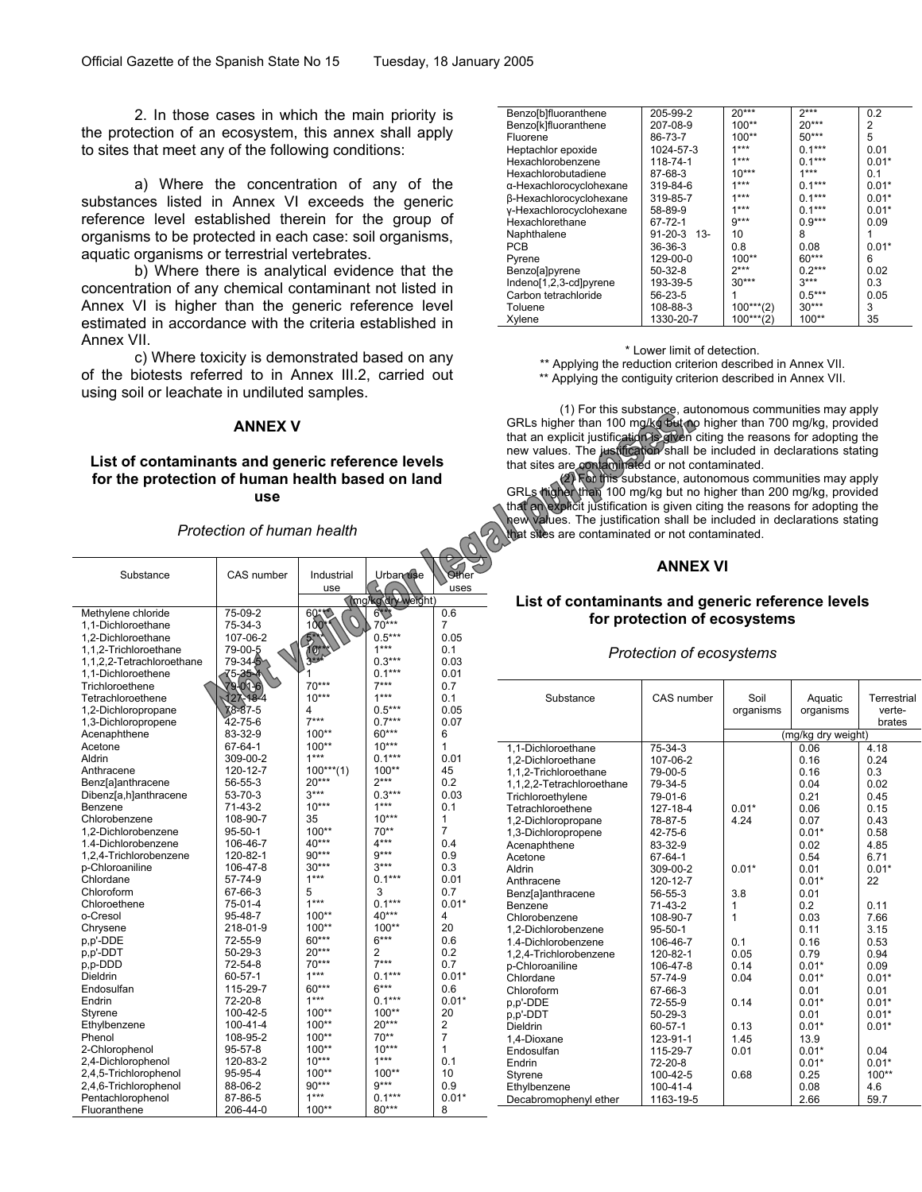2. In those cases in which the main priority is the protection of an ecosystem, this annex shall apply to sites that meet any of the following conditions:

a) Where the concentration of any of the substances listed in Annex VI exceeds the generic reference level established therein for the group of organisms to be protected in each case: soil organisms, aquatic organisms or terrestrial vertebrates.

b) Where there is analytical evidence that the concentration of any chemical contaminant not listed in Annex VI is higher than the generic reference level estimated in accordance with the criteria established in Annex VII.

c) Where toxicity is demonstrated based on any of the biotests referred to in Annex III.2, carried out using soil or leachate in undiluted samples.

#### **ANNEX V**

# **List of contaminants and generic reference levels for the protection of human health based on land use**

*Protection of human health*

| Substance                 | CAS number    | Industrial             | Urban use         | Other          |
|---------------------------|---------------|------------------------|-------------------|----------------|
|                           |               | use                    |                   | uses           |
|                           |               |                        | mg/kg dry weight) |                |
| Methylene chloride        | 75-09-2       | 60***                  | $6$ **            | 0.6            |
| 1,1-Dichloroethane        | 75-34-3       | 100'                   | $70***$           | $\overline{7}$ |
| 1,2-Dichloroethane        | 107-06-2      | $5^{\circ}$            | $0.5***$          | 0.05           |
| 1,1,2-Trichloroethane     | 79-00-5       | $rac{10^{*}}{3^{***}}$ | $1***$            | 0.1            |
| 1,1,2,2-Tetrachloroethane | 79-34-5       |                        | $0.3***$          | 0.03           |
| 1.1-Dichloroethene        | 75-35-4       | 1                      | $0.1***$          | 0.01           |
| Trichloroethene           | 8-00-87       | 70***                  | $7***$            | 0.7            |
| Tetrachloroethene         | 127-18-4      | $10***$                | $1***$            | 0.1            |
| 1,2-Dichloropropane       | 78-87-5       | 4                      | $0.5***$          | 0.05           |
| 1,3-Dichloropropene       | 42-75-6       | $7***$                 | $0.7***$          | 0.07           |
| Acenaphthene              | 83-32-9       | 100**                  | 60***             | 6              |
| Acetone                   | 67-64-1       | 100**                  | $10***$           | $\mathbf{1}$   |
| Aldrin                    | 309-00-2      | $1***$                 | $0.1***$          | 0.01           |
| Anthracene                | 120-12-7      | $100***(1)$            | $100**$           | 45             |
| <b>Benz</b> [a]anthracene | 56-55-3       | $20***$                | $2***$            | 0.2            |
| Dibenz[a,h]anthracene     | 53-70-3       | $3***$                 | $0.3***$          | 0.03           |
| Benzene                   | $71-43-2$     | $10***$                | $1***$            | 0.1            |
| Chlorobenzene             | 108-90-7      | 35                     | $10***$           | 1              |
| 1.2-Dichlorobenzene       | $95 - 50 - 1$ | $100**$                | 70**              | $\overline{7}$ |
| 1.4-Dichlorobenzene       | 106-46-7      | 40***                  | $4***$            | 0.4            |
| 1,2,4-Trichlorobenzene    | 120-82-1      | 90***                  | $9***$            | 0.9            |
| p-Chloroaniline           | 106-47-8      | $30***$                | $3***$            | 0.3            |
| Chlordane                 | 57-74-9       | 1***                   | $0.1***$          | 0.01           |
| Chloroform                | 67-66-3       | 5                      | 3                 | 0.7            |
| Chloroethene              | 75-01-4       | $1***$                 | $0.1***$          | $0.01*$        |
| o-Cresol                  | 95-48-7       | 100**                  | $40***$           | 4              |
| Chrysene                  | 218-01-9      | 100**                  | $100**$           | 20             |
| p,p'-DDE                  | 72-55-9       | 60***                  | $6***$            | 0.6            |
| p,p'-DDT                  | $50 - 29 - 3$ | 20***                  | 2                 | 0.2            |
| p,p-DDD                   | 72-54-8       | 70***                  | $7***$            | 0.7            |
| Dieldrin                  | $60 - 57 - 1$ | $1***$                 | $0.1***$          | $0.01*$        |
| Endosulfan                | 115-29-7      | 60***                  | $6***$            | 0.6            |
| Endrin                    | 72-20-8       | 1***                   | $0.1***$          | $0.01*$        |
| Styrene                   | 100-42-5      | 100**                  | $100**$           | 20             |
| Ethylbenzene              | 100-41-4      | 100**                  | $20***$           | 2              |
| Phenol                    | 108-95-2      | 100**                  | $70**$            | 7              |
| 2-Chlorophenol            | $95 - 57 - 8$ | 100**                  | $10***$           | 1              |
| 2,4-Dichlorophenol        | 120-83-2      | $10***$                | $1***$            | 0.1            |
| 2,4,5-Trichlorophenol     | 95-95-4       | 100**                  | 100**             | 10             |
| 2,4,6-Trichlorophenol     | 88-06-2       | 90***                  | $9***$            | 0.9            |
| Pentachlorophenol         | 87-86-5       | $1***$                 | $0.1***$          | $0.01*$        |
| Fluoranthene              | 206-44-0      | 100**                  | 80***             | 8              |
|                           |               |                        |                   |                |

| Benzo[b]fluoranthene           | 205-99-2          | $20***$     | $2***$   | 0.2     |
|--------------------------------|-------------------|-------------|----------|---------|
| Benzo[k]fluoranthene           | 207-08-9          | $100**$     | $20***$  | 2       |
| Fluorene                       | 86-73-7           | $100**$     | $50***$  | 5       |
| Heptachlor epoxide             | 1024-57-3         | $1***$      | $0.1***$ | 0.01    |
| Hexachlorobenzene              | 118-74-1          | $1***$      | $0.1***$ | $0.01*$ |
| Hexachlorobutadiene            | 87-68-3           | $10***$     | $1***$   | 0.1     |
| α-Hexachlorocyclohexane        | 319-84-6          | $1***$      | $0.1***$ | $0.01*$ |
| <b>ß-Hexachlorocyclohexane</b> | 319-85-7          | $1***$      | $0.1***$ | $0.01*$ |
| y-Hexachlorocyclohexane        | 58-89-9           | $1***$      | $0.1***$ | $0.01*$ |
| Hexachlorethane                | 67-72-1           | $9***$      | $0.9***$ | 0.09    |
| Naphthalene                    | $91 - 20 - 3$ 13- | 10          | 8        |         |
| <b>PCB</b>                     | $36-36-3$         | 0.8         | 0.08     | $0.01*$ |
| Pyrene                         | $129-00-0$        | $100**$     | 60***    | 6       |
| <b>Benzo</b> [a]pyrene         | $50-32-8$         | $2***$      | $0.2***$ | 0.02    |
| Indeno[1,2,3-cd]pyrene         | 193-39-5          | $30***$     | $3***$   | 0.3     |
| Carbon tetrachloride           | $56 - 23 - 5$     |             | $0.5***$ | 0.05    |
| Toluene                        | 108-88-3          | $100***(2)$ | $30***$  | 3       |
| Xvlene                         | 1330-20-7         | $100***(2)$ | $100**$  | 35      |

\* Lower limit of detection.

\*\* Applying the reduction criterion described in Annex VII.

\*\* Applying the contiguity criterion described in Annex VII.

(1) For this substance, autonomous communities may apply GRLs higher than 100 mg/kg but no higher than 700 mg/kg, provided that an explicit justification is given citing the reasons for adopting the new values. The justification shall be included in declarations stating that sites are contaminated or not contaminated.

(2) For this substance, autonomous communities may apply GRLs higher than 100 mg/kg but no higher than 200 mg/kg, provided that an explicit justification is given citing the reasons for adopting the new values. The justification shall be included in declarations stating that sites are contaminated or not contaminated.

# **ANNEX VI**

#### **List of contaminants and generic reference levels for protection of ecosystems**

#### *Protection of ecosystems*

| Substance                 | CAS number    | Soil      | Aquatic            | Terrestrial |
|---------------------------|---------------|-----------|--------------------|-------------|
|                           |               | organisms | organisms          | verte-      |
|                           |               |           |                    | brates      |
|                           |               |           | (mg/kg dry weight) |             |
| 1,1-Dichloroethane        | 75-34-3       |           | 0.06               | 4.18        |
| 1,2-Dichloroethane        | 107-06-2      |           | 0.16               | 0.24        |
| 1,1,2-Trichloroethane     | 79-00-5       |           | 0.16               | 0.3         |
| 1,1,2,2-Tetrachloroethane | 79-34-5       |           | 0.04               | 0.02        |
| Trichloroethylene         | 79-01-6       |           | 0.21               | 0.45        |
| Tetrachloroethene         | 127-18-4      | $0.01*$   | 0.06               | 0.15        |
| 1,2-Dichloropropane       | 78-87-5       | 4.24      | 0.07               | 0.43        |
| 1,3-Dichloropropene       | 42-75-6       |           | $0.01*$            | 0.58        |
| Acenaphthene              | 83-32-9       |           | 0.02               | 4.85        |
| Acetone                   | 67-64-1       |           | 0.54               | 6.71        |
| Aldrin                    | 309-00-2      | $0.01*$   | 0.01               | $0.01*$     |
| Anthracene                | 120-12-7      |           | $0.01*$            | 22          |
| Benz[a]anthracene         | 56-55-3       | 3.8       | 0.01               |             |
| Benzene                   | $71-43-2$     | 1         | 0.2                | 0.11        |
| Chlorobenzene             | 108-90-7      | 1         | 0.03               | 7.66        |
| 1,2-Dichlorobenzene       | $95 - 50 - 1$ |           | 0.11               | 3.15        |
| 1.4-Dichlorobenzene       | 106-46-7      | 0.1       | 0.16               | 0.53        |
| 1,2,4-Trichlorobenzene    | 120-82-1      | 0.05      | 0.79               | 0.94        |
| p-Chloroaniline           | 106-47-8      | 0.14      | $0.01*$            | 0.09        |
| Chlordane                 | 57-74-9       | 0.04      | $0.01*$            | $0.01*$     |
| Chloroform                | 67-66-3       |           | 0.01               | 0.01        |
| p.p'-DDE                  | 72-55-9       | 0.14      | $0.01*$            | $0.01*$     |
| p.p'-DDT                  | $50-29-3$     |           | 0.01               | $0.01*$     |
| Dieldrin                  | $60 - 57 - 1$ | 0.13      | $0.01*$            | $0.01*$     |
| 1,4-Dioxane               | 123-91-1      | 1.45      | 13.9               |             |
| Endosulfan                | 115-29-7      | 0.01      | $0.01*$            | 0.04        |
| Endrin                    | 72-20-8       |           | $0.01*$            | $0.01*$     |
| <b>Styrene</b>            | 100-42-5      | 0.68      | 0.25               | $100**$     |
| Ethylbenzene              | 100-41-4      |           | 0.08               | 4.6         |
| Decabromophenyl ether     | 1163-19-5     |           | 2.66               | 59.7        |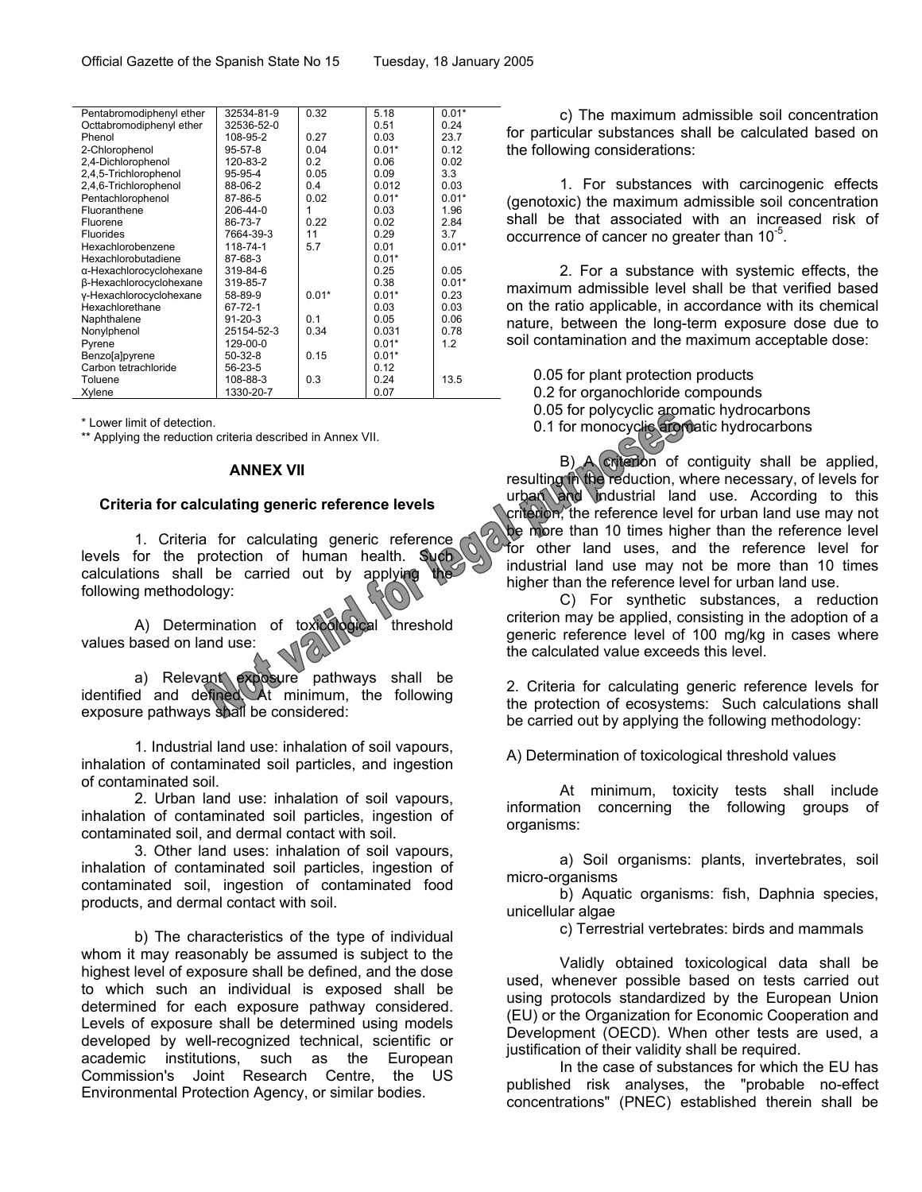|  | Tuesday, 18 January 2005 |  |
|--|--------------------------|--|
|--|--------------------------|--|

| Pentabromodiphenyl ether | 32534-81-9     | 0.32    | 5.18    | $0.01*$ |
|--------------------------|----------------|---------|---------|---------|
| Octtabromodiphenyl ether | 32536-52-0     |         | 0.51    | 0.24    |
| Phenol                   | 108-95-2       | 0.27    | 0.03    | 23.7    |
| 2-Chlorophenol           | $95 - 57 - 8$  | 0.04    | $0.01*$ | 0.12    |
| 2,4-Dichlorophenol       | 120-83-2       | 0.2     | 0.06    | 0.02    |
| 2,4,5-Trichlorophenol    | 95-95-4        | 0.05    | 0.09    | 3.3     |
| 2,4,6-Trichlorophenol    | 88-06-2        | 0.4     | 0.012   | 0.03    |
| Pentachlorophenol        | 87-86-5        | 0.02    | $0.01*$ | $0.01*$ |
| Fluoranthene             | $206 - 44 - 0$ | 1       | 0.03    | 1.96    |
| Fluorene                 | 86-73-7        | 0.22    | 0.02    | 2.84    |
| <b>Fluorides</b>         | 7664-39-3      | 11      | 0.29    | 3.7     |
| Hexachlorobenzene        | 118-74-1       | 5.7     | 0.01    | $0.01*$ |
| Hexachlorobutadiene      | 87-68-3        |         | $0.01*$ |         |
| α-Hexachlorocyclohexane  | 319-84-6       |         | 0.25    | 0.05    |
| β-Hexachlorocyclohexane  | 319-85-7       |         | 0.38    | $0.01*$ |
| y-Hexachlorocyclohexane  | 58-89-9        | $0.01*$ | $0.01*$ | 0.23    |
| Hexachlorethane          | 67-72-1        |         | 0.03    | 0.03    |
| Naphthalene              | $91 - 20 - 3$  | 0.1     | 0.05    | 0.06    |
| Nonylphenol              | 25154-52-3     | 0.34    | 0.031   | 0.78    |
| Pyrene                   | 129-00-0       |         | $0.01*$ | 1.2     |
| Benzo[a]pyrene           | $50-32-8$      | 0.15    | $0.01*$ |         |
| Carbon tetrachloride     | 56-23-5        |         | 0.12    |         |
| Toluene                  | 108-88-3       | 0.3     | 0.24    | 13.5    |
| Xylene                   | 1330-20-7      |         | 0.07    |         |
|                          |                |         |         |         |

\* Lower limit of detection.

\*\* Applying the reduction criteria described in Annex VII.

#### **ANNEX VII**

#### **Criteria for calculating generic reference levels**

1. Criteria for calculating generic reference levels for the protection of human health. Such calculations shall be carried out by applying following methodology:

A) Determination of toxicological threshold values based on land use:

a) Relevant exposure pathways shall be identified and defined. At minimum, the following exposure pathways shall be considered:

1. Industrial land use: inhalation of soil vapours, inhalation of contaminated soil particles, and ingestion of contaminated soil.

2. Urban land use: inhalation of soil vapours, inhalation of contaminated soil particles, ingestion of contaminated soil, and dermal contact with soil.

3. Other land uses: inhalation of soil vapours, inhalation of contaminated soil particles, ingestion of contaminated soil, ingestion of contaminated food products, and dermal contact with soil.

 b) The characteristics of the type of individual whom it may reasonably be assumed is subject to the highest level of exposure shall be defined, and the dose to which such an individual is exposed shall be determined for each exposure pathway considered. Levels of exposure shall be determined using models developed by well-recognized technical, scientific or academic institutions, such as the European Commission's Joint Research Centre, the US Environmental Protection Agency, or similar bodies.

c) The maximum admissible soil concentration for particular substances shall be calculated based on the following considerations:

1. For substances with carcinogenic effects (genotoxic) the maximum admissible soil concentration shall be that associated with an increased risk of occurrence of cancer no greater than 10<sup>-5</sup>.

2. For a substance with systemic effects, the maximum admissible level shall be that verified based on the ratio applicable, in accordance with its chemical nature, between the long-term exposure dose due to soil contamination and the maximum acceptable dose:

0.05 for plant protection products 0.2 for organochloride compounds 0.05 for polycyclic aromatic hydrocarbons 0.1 for monocyclic aromatic hydrocarbons

B) A criterion of contiguity shall be applied, resulting in the reduction, where necessary, of levels for urban and industrial land use. According to this criterion, the reference level for urban land use may not be more than 10 times higher than the reference level for other land uses, and the reference level for industrial land use may not be more than 10 times higher than the reference level for urban land use.

C) For synthetic substances, a reduction criterion may be applied, consisting in the adoption of a generic reference level of 100 mg/kg in cases where the calculated value exceeds this level.

2. Criteria for calculating generic reference levels for the protection of ecosystems: Such calculations shall be carried out by applying the following methodology:

A) Determination of toxicological threshold values

At minimum, toxicity tests shall include information concerning the following groups of organisms:

a) Soil organisms: plants, invertebrates, soil micro-organisms

b) Aquatic organisms: fish, Daphnia species, unicellular algae

c) Terrestrial vertebrates: birds and mammals

Validly obtained toxicological data shall be used, whenever possible based on tests carried out using protocols standardized by the European Union (EU) or the Organization for Economic Cooperation and Development (OECD). When other tests are used, a justification of their validity shall be required.

In the case of substances for which the EU has published risk analyses, the "probable no-effect concentrations" (PNEC) established therein shall be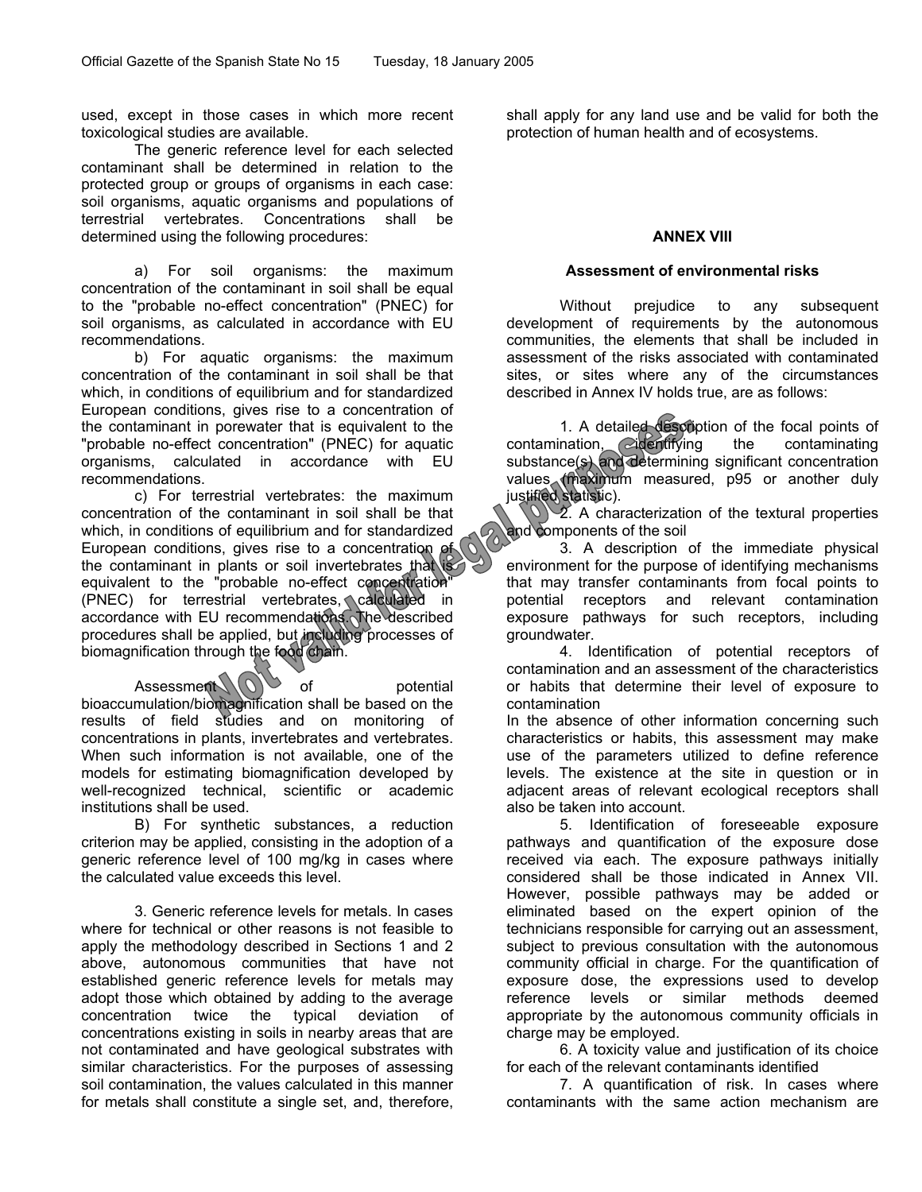used, except in those cases in which more recent toxicological studies are available.

The generic reference level for each selected contaminant shall be determined in relation to the protected group or groups of organisms in each case: soil organisms, aquatic organisms and populations of terrestrial vertebrates. Concentrations shall be determined using the following procedures:

a) For soil organisms: the maximum concentration of the contaminant in soil shall be equal to the "probable no-effect concentration" (PNEC) for soil organisms, as calculated in accordance with EU recommendations.

b) For aquatic organisms: the maximum concentration of the contaminant in soil shall be that which, in conditions of equilibrium and for standardized European conditions, gives rise to a concentration of the contaminant in porewater that is equivalent to the "probable no-effect concentration" (PNEC) for aquatic organisms, calculated in accordance with EU recommendations.

c) For terrestrial vertebrates: the maximum concentration of the contaminant in soil shall be that which, in conditions of equilibrium and for standardized European conditions, gives rise to a concentration of the contaminant in plants or soil invertebrates that is equivalent to the "probable no-effect concentration" (PNEC) for terrestrial vertebrates, calculated in accordance with EU recommendations. The described procedures shall be applied, but including processes of biomagnification through the food chain.

Assessment  $\bigcirc$  of potential bioaccumulation/biomagnification shall be based on the results of field studies and on monitoring of concentrations in plants, invertebrates and vertebrates. When such information is not available, one of the models for estimating biomagnification developed by well-recognized technical, scientific or academic institutions shall be used.

B) For synthetic substances, a reduction criterion may be applied, consisting in the adoption of a generic reference level of 100 mg/kg in cases where the calculated value exceeds this level.

3. Generic reference levels for metals. In cases where for technical or other reasons is not feasible to apply the methodology described in Sections 1 and 2 above, autonomous communities that have not established generic reference levels for metals may adopt those which obtained by adding to the average concentration twice the typical deviation of concentrations existing in soils in nearby areas that are not contaminated and have geological substrates with similar characteristics. For the purposes of assessing soil contamination, the values calculated in this manner for metals shall constitute a single set, and, therefore, shall apply for any land use and be valid for both the protection of human health and of ecosystems.

# **ANNEX VIII**

#### **Assessment of environmental risks**

Without prejudice to any subsequent development of requirements by the autonomous communities, the elements that shall be included in assessment of the risks associated with contaminated sites, or sites where any of the circumstances described in Annex IV holds true, are as follows:

1. A detailed description of the focal points of contamination, didentifying the contaminating substance(s) and determining significant concentration values (maximum measured, p95 or another duly justified statistic).

 $\sqrt{2}$ . A characterization of the textural properties and components of the soil

3. A description of the immediate physical environment for the purpose of identifying mechanisms that may transfer contaminants from focal points to potential receptors and relevant contamination exposure pathways for such receptors, including groundwater.

4. Identification of potential receptors of contamination and an assessment of the characteristics or habits that determine their level of exposure to contamination

In the absence of other information concerning such characteristics or habits, this assessment may make use of the parameters utilized to define reference levels. The existence at the site in question or in adjacent areas of relevant ecological receptors shall also be taken into account.

5. Identification of foreseeable exposure pathways and quantification of the exposure dose received via each. The exposure pathways initially considered shall be those indicated in Annex VII. However, possible pathways may be added or eliminated based on the expert opinion of the technicians responsible for carrying out an assessment, subject to previous consultation with the autonomous community official in charge. For the quantification of exposure dose, the expressions used to develop reference levels or similar methods deemed appropriate by the autonomous community officials in charge may be employed.

6. A toxicity value and justification of its choice for each of the relevant contaminants identified

7. A quantification of risk. In cases where contaminants with the same action mechanism are